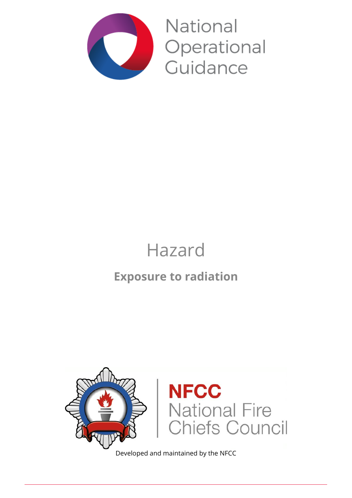

National Operational Guidance

# Hazard

## **Exposure to radiation**



Developed and maintained by the NFCC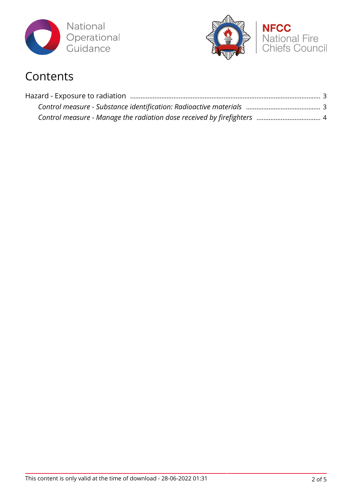



## Contents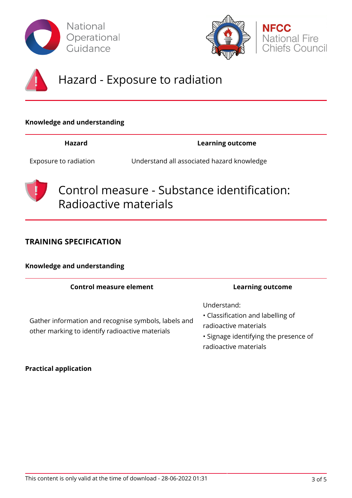





## Hazard - Exposure to radiation

### **Knowledge and understanding**

**Hazard Learning outcome**

Exposure to radiation Understand all associated hazard knowledge



Control measure - Substance identification: Radioactive materials

### **TRAINING SPECIFICATION**

### **Knowledge and understanding**

| <b>Control measure element</b>                                                                          | <b>Learning outcome</b>                                                                                                                     |
|---------------------------------------------------------------------------------------------------------|---------------------------------------------------------------------------------------------------------------------------------------------|
| Gather information and recognise symbols, labels and<br>other marking to identify radioactive materials | Understand:<br>• Classification and labelling of<br>radioactive materials<br>• Signage identifying the presence of<br>radioactive materials |

### **Practical application**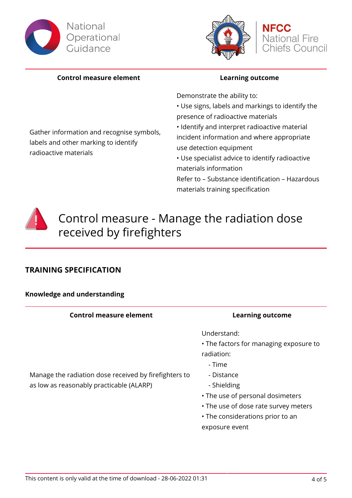





### **Control measure element Learning outcome**

Gather information and recognise symbols,

labels and other marking to identify

radioactive materials

Demonstrate the ability to:

• Use signs, labels and markings to identify the presence of radioactive materials

• Identify and interpret radioactive material incident information and where appropriate use detection equipment

• Use specialist advice to identify radioactive materials information

Refer to – Substance identification – Hazardous materials training specification



## Control measure - Manage the radiation dose received by firefighters

### **TRAINING SPECIFICATION**

### **Knowledge and understanding**

| <b>Control measure element</b>                        |            |
|-------------------------------------------------------|------------|
|                                                       | Und        |
|                                                       | $\cdot$ Th |
|                                                       | radi       |
|                                                       |            |
| Manage the radiation dose received by firefighters to | - 1        |
| as low as reasonably practicable (ALARP)              |            |
|                                                       | ᠇⊾         |

### **Learning outcome**

derstand:

- e factors for managing exposure to iation:
	- Time
	- **Distance**
	- **Shielding**
- The use of personal dosimeters
- The use of dose rate survey meters
- The considerations prior to an exposure event